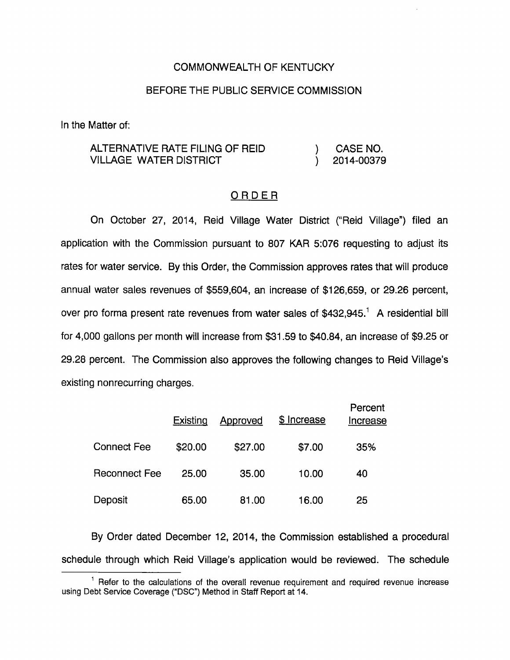#### COMMONWEALTH OF KENTUCKY

#### BEFORE THE PUBLIC SERVICE COMMISSION

In the Matter of:

### ALTERNATIVE RATE FILING OF REID ) CASE NO. VILLAGE WATER DISTRICT ) 2014-00379

#### ORDER

On October 27, 2014, Reid Village Water District ("Reid Village") filed an application with the Commission pursuant to 807 KAR 5:076 requesting to adjust its rates for water service. By this Order, the Commission approves rates that will produce annual water sales revenues of \$559,604, an increase of \$126,659, or 29.26 percent, over pro forma present rate revenues from water sales of  $$432,945<sup>1</sup>$  A residential bill for 4,000 gallons per month will increase from \$31.59 to \$40.84, an increase of \$9.25 or 29.28 percent. The Commission also approves the following changes to Reid Village's existing nonrecurring charges.

|                      | Existing | Approved | \$ Increase | Percent<br>Increase |
|----------------------|----------|----------|-------------|---------------------|
| <b>Connect Fee</b>   | \$20.00  | \$27.00  | \$7.00      | 35%                 |
| <b>Reconnect Fee</b> | 25.00    | 35.00    | 10.00       | 40                  |
| Deposit              | 65.00    | 81.00    | 16.00       | 25                  |

By Order dated December 12, 2014, the Commission established a procedural schedule through which Reid Village's application would be reviewed. The schedule

 $<sup>1</sup>$  Refer to the calculations of the overall revenue requirement and required revenue increase</sup> using Debt Service Coverage ("DSC") Method in Staff Report at 14.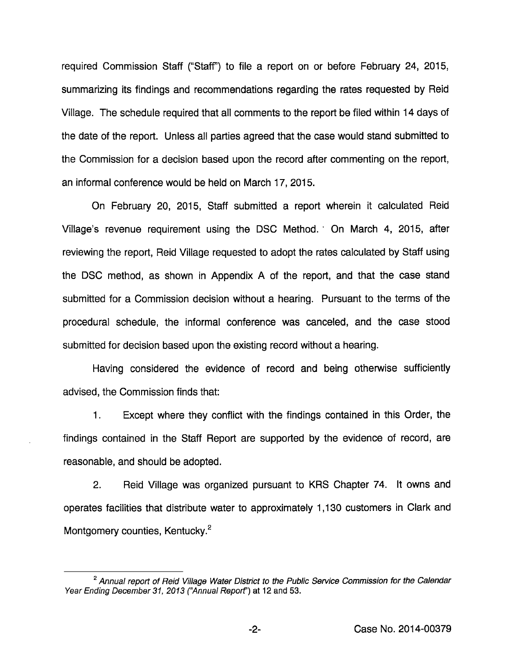required Commission Staff ("Staff") to file a report on or before February 24, 2015, summarizing its findings and recommendations regarding the rates requested by Reid Village. The schedule required that all comments to the report be filed within 14 days of the date of the report. Unless all parties agreed that the case would stand submitted to the Commission for a decision based upon the record after commenting on the report, an informal conference would be held on March 17, 2015.

On February 20, 2015, Staff submitted a report wherein it calculated Reid Village's revenue requirement using the DSC Method. ' On March 4, 2015, after reviewing the report, Reid Village requested to adopt the rates calculated by Staff using the DSC method, as shown in Appendix A of the report, and that the case stand submitted for a Commission decision without a hearing. Pursuant to the terms of the procedural schedule, the informal conference was canceled, and the case stood submitted for decision based upon the existing record without a hearing.

Having considered the evidence of record and being othenwise sufficiently advised, the Commission finds that:

1. Except where they conflict with the findings contained in this Order, the findings contained in the Staff Report are supported by the evidence of record, are reasonable, and should be adopted.

2. Reid Village was organized pursuant to KRS Chapter 74. It owns and operates facilities that distribute water to approximately 1,130 customers in Clark and Montgomery counties, Kentucky.<sup>2</sup>

 $-2-$ 

 $2$  Annual report of Reid Village Water District to the Public Service Commission for the Calendar Year Ending December 31, 2013 ("Annual Report") at 12 and 53.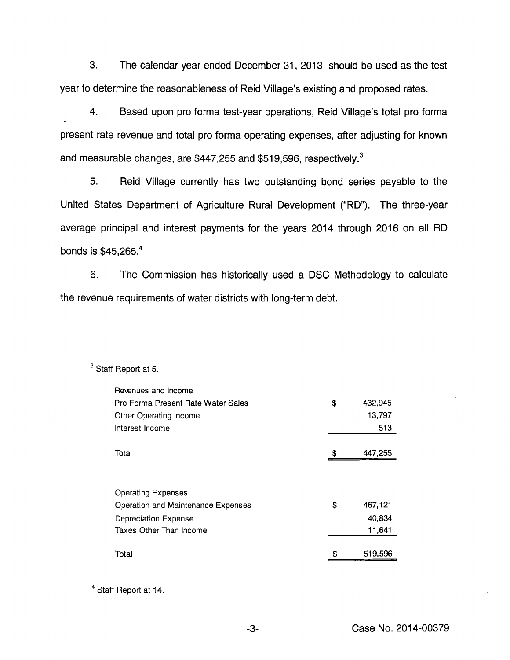3. The calendar year ended December 31, 2013, should be used as the test year to determine the reasonableness of Reid Village's existing and proposed rates.

4. Based upon pro forma test-year operations, Reid Village's total pro forma present rate revenue and total pro forma operating expenses, after adjusting for known and measurable changes, are  $$447,255$  and  $$519,596$ , respectively.<sup>3</sup>

5. Reid Village currently has two outstanding bond series payable to the United States Department of Agriculture Rural Development ("RD"). The three-year average principal and interest payments for the years 2014 through 2016 on all RD bonds is \$45,265.'\*

6. The Commission has historically used a DSC Methodology to calculate the revenue requirements of water districts with long-term debt.

| Revenues and Income                |               |
|------------------------------------|---------------|
| Pro Forma Present Rate Water Sales | \$<br>432,945 |
| Other Operating Income             | 13,797        |
| Interest Income                    | 513           |
|                                    |               |
| Total                              | \$<br>447,255 |
|                                    |               |
|                                    |               |
| <b>Operating Expenses</b>          |               |
| Operation and Maintenance Expenses | \$<br>467,121 |
| Depreciation Expense               | 40,834        |
| Taxes Other Than Income            | 11,641        |
|                                    |               |
| Total                              | 519.596       |
|                                    |               |

<sup>3</sup> Staff Report at 5.

<sup>4</sup> Staff Report at 14.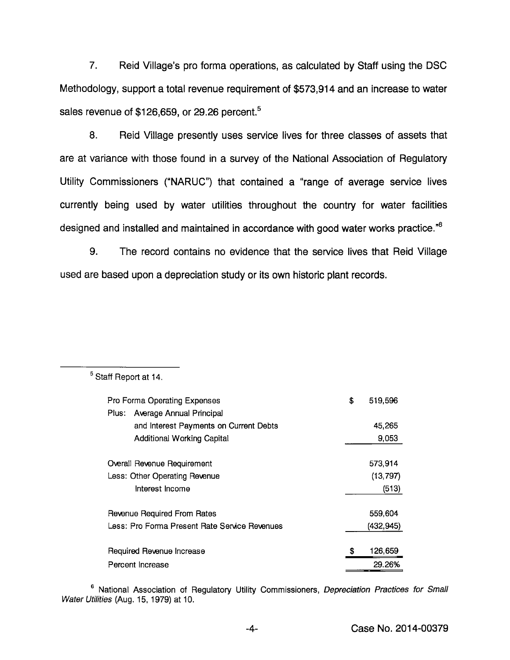7. Reid Village's pro forma operations, as calculated by Staff using the DSC Methodology, support a total revenue requirement of \$573,914 and an increase to water sales revenue of  $$126,659$ , or 29.26 percent.<sup>5</sup>

8. Reid Village presently uses service lives for three classes of assets that are at variance with those found in a survey of the National Association of Regulatory Utility Commissioners ("NARUC") that contained a "range of average service lives currently being used by water utilities throughout the country for water facilities designed and installed and maintained in accordance with good water works practice.<sup>"6</sup>

9. The record contains no evidence that the service lives that Reid Village used are based upon a depreciation study or its own historic plant records.

| Pro Forma Operating Expenses                  | \$<br>519,596 |
|-----------------------------------------------|---------------|
| Plus: Average Annual Principal                |               |
| and Interest Payments on Current Debts        | 45.265        |
| <b>Additional Working Capital</b>             | 9,053         |
|                                               |               |
| Overall Revenue Requirement                   | 573.914       |
| Less: Other Operating Revenue                 | (13, 797)     |
| Interest Income                               | (513)         |
| Revenue Required From Rates                   | 559,604       |
| Less: Pro Forma Present Rate Service Revenues | (432, 945)    |
|                                               |               |
| Required Revenue Increase                     | \$<br>126,659 |
| Percent Increase                              | 29.26%        |

<sup>5</sup> Staff Report at 14.

<sup>6</sup> National Association of Regulatory Utility Commissioners, *Depreciation Practices for Small* Water Utilities (Aug. 15, 1979) at 10.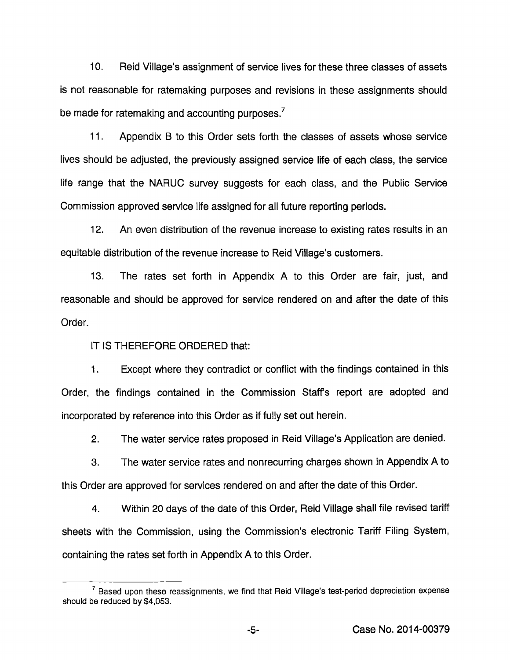10. Reid Village's assignment of service lives for these three classes of assets is not reasonable for ratemaking purposes and revisions in these assignments should be made for ratemaking and accounting purposes.<sup>7</sup>

11. Appendix B to this Order sets forth the classes of assets whose service lives should be adjusted, the previously assigned service life of each class, the service life range that the NARUC survey suggests for each class, and the Public Service Commission approved service life assigned for all future reporting periods.

12. An even distribution of the revenue increase to existing rates results in an equitable distribution of the revenue increase to Reid Village's customers.

13. The rates set forth in Appendix A to this Order are fair, just, and reasonable and should be approved for service rendered on and after the date of this Order.

IT IS THEREFORE ORDERED that:

1. Except where they contradict or conflict with the findings contained in this Order, the findings contained in the Commission Staff's report are adopted and incorporated by reference into this Order as if fully set out herein.

2. The water service rates proposed in Reid Village's Application are denied.

3. The water service rates and nonrecurring charges shown in Appendix A to this Order are approved for services rendered on and after the date of this Order.

4. Within 20 days of the date of this Order, Reld Village shall file revised tariff sheets with the Commission, using the Commission's electronic Tariff Filing System, containing the rates set forth in Appendix A to this Order.

 $<sup>7</sup>$  Based upon these reassignments, we find that Reid Village's test-period depreciation expense</sup> shouid be reduced by \$4,053.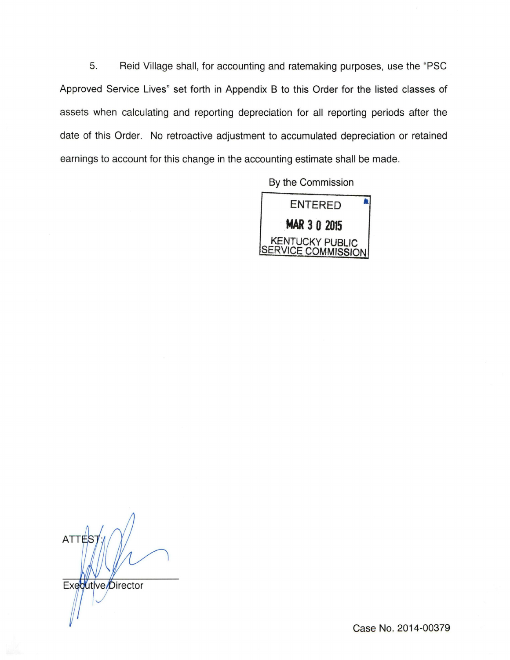5. Reid Village shall, for accounting and ratemaking purposes, use the "PSC Approved Service Lives" set forth in Appendix B to this Order for the listed classes of assets when calculating and reporting depreciation for all reporting periods after the date of this Order. No retroactive adjustment to accumulated depreciation or retained earnings to account for this change in the accounting estimate shall be made.

By the Commission



ATTES Executive/Director

Case No. 2014-00379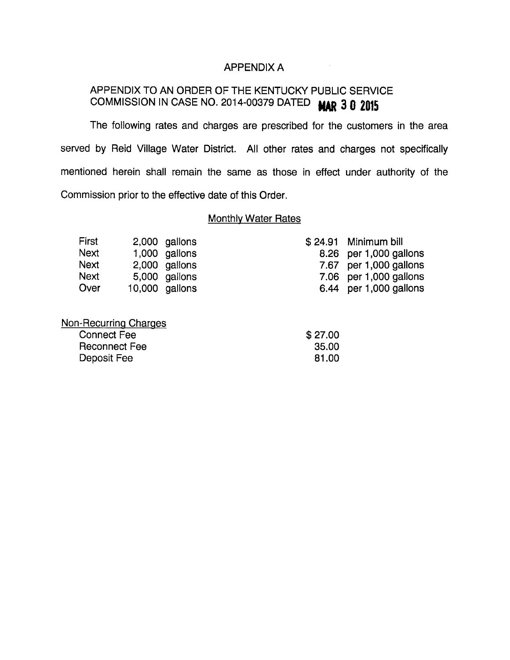#### APPENDIX A

# APPENDIX TO AN ORDER OF THE KENTUCKY PUBLIC SERVICE COMMISSION IN CASE NO. 2014-00379 DATED MAR 3 0 2015

The following rates and charges are prescribed for the customers in the area served by Reid Village Water District. All other rates and charges not specifically mentioned herein shall remain the same as those in effect under authority of the Commission prior to the effective date of this Order.

### Monthly Water Rates

| First | 2,000 gallons    | $$24.91$ Minimum bill  |
|-------|------------------|------------------------|
| Next  | $1,000$ gallons  | 8.26 per 1,000 gallons |
| Next  | 2,000 gallons    | 7.67 per 1,000 gallons |
| Next  | 5,000 gallons    | 7.06 per 1,000 gallons |
| Over  | $10,000$ gallons | 6.44 per 1,000 gallons |
|       |                  |                        |

| Non-Recurring Charges |         |
|-----------------------|---------|
| <b>Connect Fee</b>    | \$27.00 |
| Reconnect Fee         | -35.00  |
| Deposit Fee           | 81.00   |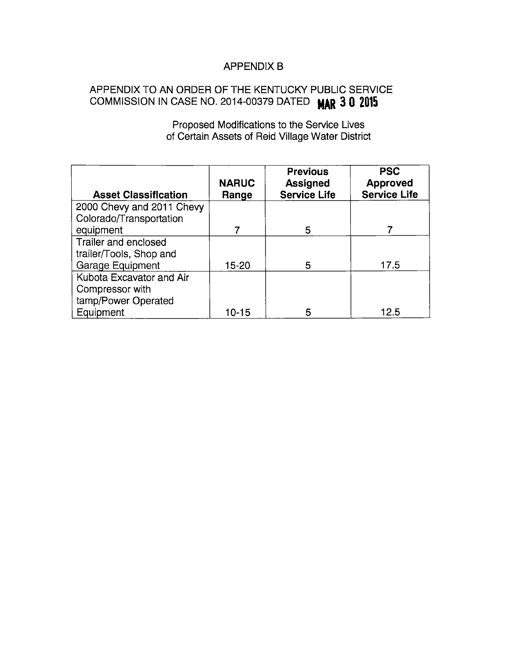## APPENDIX B

## APPENDIX TO AN ORDER OF THE KENTUCKY PUBLIC SERVICE COMMISSION IN CASE NO. 2014-00379 DATED MAR 3 0 2015

Proposed Modifications to the Service Lives of Certain Assets of Reid Village Water District

| <b>Asset Classification</b> | <b>NARUC</b><br>Range | <b>Previous</b><br><b>Assigned</b><br><b>Service Life</b> | <b>PSC</b><br><b>Approved</b><br><b>Service Life</b> |
|-----------------------------|-----------------------|-----------------------------------------------------------|------------------------------------------------------|
| 2000 Chevy and 2011 Chevy   |                       |                                                           |                                                      |
| Colorado/Transportation     |                       |                                                           |                                                      |
| equipment                   |                       | 5                                                         |                                                      |
| Trailer and enclosed        |                       |                                                           |                                                      |
| trailer/Tools, Shop and     |                       |                                                           |                                                      |
| Garage Equipment            | 15-20                 | 5                                                         | 17.5                                                 |
| Kubota Excavator and Air    |                       |                                                           |                                                      |
| Compressor with             |                       |                                                           |                                                      |
| tamp/Power Operated         |                       |                                                           |                                                      |
| Equipment                   | 10-15                 | 5                                                         | 12.5                                                 |